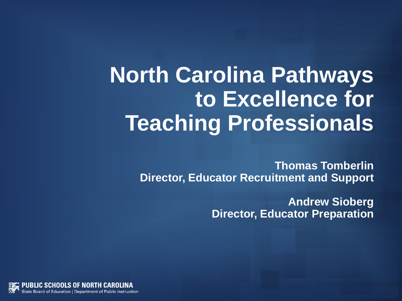## **North Carolina Pathways to Excellence for Teaching Professionals**

**Thomas Tomberlin Director, Educator Recruitment and Support**

> **Andrew Sioberg Director, Educator Preparation**

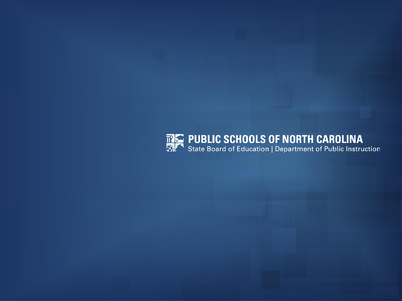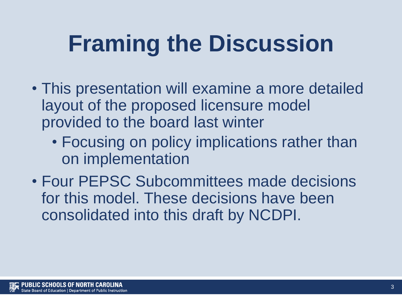# **Framing the Discussion**

- This presentation will examine a more detailed layout of the proposed licensure model provided to the board last winter
	- Focusing on policy implications rather than on implementation
- Four PEPSC Subcommittees made decisions for this model. These decisions have been consolidated into this draft by NCDPI.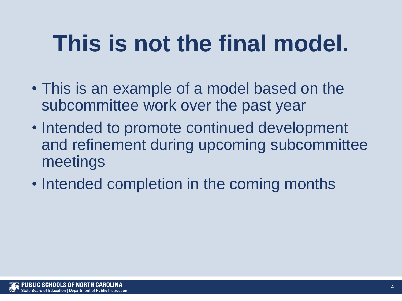# **This is not the final model.**

- This is an example of a model based on the subcommittee work over the past year
- Intended to promote continued development and refinement during upcoming subcommittee meetings
- Intended completion in the coming months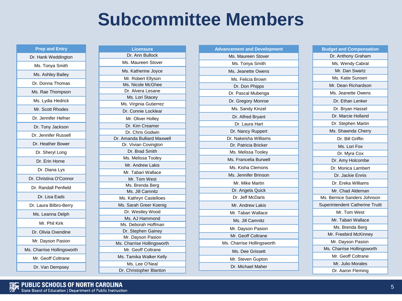### **Subcommittee Members**

**Prep and Entry** Dr. Hank Weddington Ms. Tonya Smith Ms. Ashley Bailey Dr. Donna Thomas Ms. Rae Thompson Ms. Lydia Hedrick Mr. Scott Rhodes Dr. Jennifer Hefner Dr. Tony Jackson Dr. Jennifer Russell Dr. Heather Bower Dr. Sheryl Long Dr. Erin Horne Dr. Diana Lys Dr. Christina O'Connor Dr. Randall Penfield Dr. Lisa Eads Dr. Laura Bilbro-Berry Ms. Leanna Delph Mr. Phil Kirk Dr. Olivia Oxendine Mr. Dayson Pasion Ms. Charrise Hollingsworth Mr. Geoff Coltrane

Dr. Van Dempsey

| Licensure                   |
|-----------------------------|
| Dr. Ann Bullock             |
| Ms. Maureen Stover          |
| Ms. Katherine Joyce         |
| Mr. Robert Ellyson          |
| Ms. Nicole McGhee           |
| Dr. Alvera Lesane           |
| Ms. Lori Stacey             |
| Ms. Virginia Gutierrez      |
| Dr. Connie Locklear         |
| Mr. Oliver Holley           |
| Dr. Kim Creamer             |
| Dr. Chris Godwin            |
| Dr. Amanda Bulliard Maxwell |
| Dr. Vivian Covington        |
| Dr. Brad Smith              |
| Ms. Melissa Tooley          |
| Mr. Andrew Lakis            |
| Mr. Tabari Wallace          |
| Mr. Tom West                |
| Ms. Brenda Berg             |
| Ms. Jill Camnitz            |
| Ms. Kathryn Castelloes      |
| Ms. Sarah Greer Koenig      |
| Dr. Westley Wood            |
| Ms. AJ Hammond              |
| Ms. Deborah Hoffman         |
| Dr. Stephen Gainey          |
| Mr. Dayson Pasion           |
| Ms. Charrise Hollingsworth  |
| Mr. Geoff Coltrane          |
| Ms. Tamika Walker Kelly     |
| Ms. Lee O'Neal              |
| Dr. Christopher Blanton     |

| <b>Advancement and Development</b> |
|------------------------------------|
| Ms. Maureen Stover                 |
| Ms. Tonya Smith                    |
| Ms. Jeanette Owens                 |
| Ms. Felicia Brown                  |
| Dr. Don Phipps                     |
| Dr. Pascal Mubenga                 |
| Dr. Gregory Monroe                 |
| Ms. Sandy Kinzel                   |
| Dr. Alfred Bryant                  |
| Dr. Laura Hart                     |
| Dr. Nancy Ruppert                  |
| Dr. Nakeisha Williams              |
| Dr. Patricia Bricker               |
| Ms. Melissa Tooley                 |
| Ms. Francelia Burwell              |
| Ms. Kisha Clemons                  |
| Ms. Jennifer Brinson               |
| Mr. Mike Martin                    |
| Dr. Angela Quick                   |
| Dr. Jeff McDaris                   |
| Mr. Andrew Lakis                   |
| Mr. Tabari Wallace                 |
| Ms. Jill Camnitz                   |
| Mr. Dayson Pasion                  |
| Mr. Geoff Coltrane                 |
| Ms. Charrise Hollingsworth         |
| Ms. Dee Grissett                   |
| Mr. Steven Gupton                  |
| Dr. Michael Maher                  |
|                                    |

**Budget and Compensation** Dr. Anthony Graham Ms. Wendy Cabral Mr. Dan Swartz Ms. Katie Sunseri Mr. Dean Richardson Ms. Jeanette Owens Dr. Ethan Lenker Dr. Bryan Hassel Dr. Marcie Holland Dr. Stephen Martin Ms. Shawnda Cherry Dr. Bill Griffin Ms. Lori Fox Dr. Myra Cox Dr. Amy Holcombe Dr. Monica Lambert Dr. Jackie Ennis Dr. Ereka Williams Mr. Chad Aldeman Ms. Bernice Sanders Johnson Superintendent Catherine Truitt Mr. Tom West Mr. Tabari Wallace Ms. Brenda Berg Mr. Freebird McKinney Mr. Dayson Pasion Ms. Charrise Hollingsworth Mr. Geoff Coltrane Mr. Julio Morales Dr. Aaron Fleming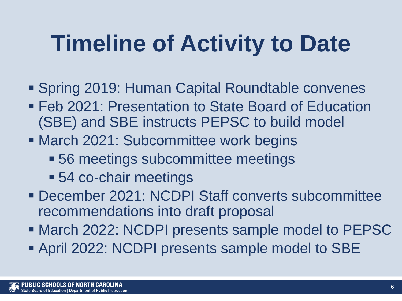# **Timeline of Activity to Date**

- Spring 2019: Human Capital Roundtable convenes
- **EXECT:** Presentation to State Board of Education (SBE) and SBE instructs PEPSC to build model
- March 2021: Subcommittee work begins
	- 56 meetings subcommittee meetings
	- 54 co-chair meetings
- December 2021: NCDPI Staff converts subcommittee recommendations into draft proposal
- March 2022: NCDPI presents sample model to PEPSC
- April 2022: NCDPI presents sample model to SBE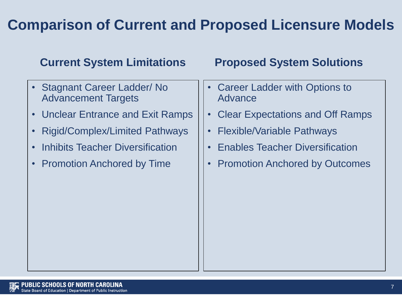### **Comparison of Current and Proposed Licensure Models**

- Stagnant Career Ladder/ No Advancement Targets
- Unclear Entrance and Exit Ramps
- Rigid/Complex/Limited Pathways
- Inhibits Teacher Diversification
- Promotion Anchored by Time

#### **Current System Limitations Proposed System Solutions**

- **Career Ladder with Options to** Advance
- Clear Expectations and Off Ramps
- Flexible/Variable Pathways
- Enables Teacher Diversification
- Promotion Anchored by Outcomes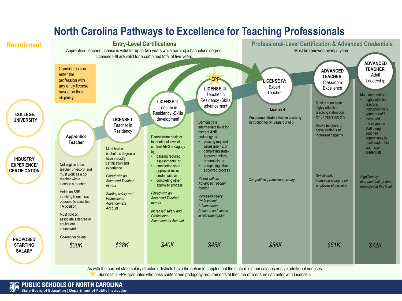

#### **North Carolina Pathways to Excellence for Teaching Professionals**

As with the current state salary structure, districts have the option to supplement the state minimum salaries or give additional bonuses. Successful EPP graduates who pass content and pedagogy requirements at the time of licensure can enter with License 3.

**PUBLIC SCHOOLS OF NORTH CAROLINA** State Board of Education | Department of Public Instruction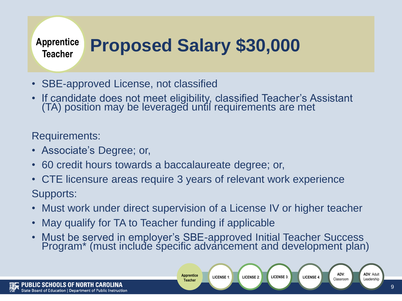#### **Proposed Salary \$30,000 Apprentice Teacher**

- SBE-approved License, not classified
- If candidate does not meet eligibility, classified Teacher's Assistant (TA) position may be leveraged until requirements are met

Requirements:

- Associate's Degree; or,
- 60 credit hours towards a baccalaureate degree; or,
- CTE licensure areas require 3 years of relevant work experience Supports:
- Must work under direct supervision of a License IV or higher teacher
- May qualify for TA to Teacher funding if applicable
- Must be served in employer's SBE-approved Initial Teacher Success Program\* (must include specific advancement and development plan)

**LICENSE 1**: **LICENSE 2**: **LICENSE 3**:

**Apprentice Teacher**

**ADV**: Adult

**ADV**: Classroom

LICENSE 4: Classroom **License 1**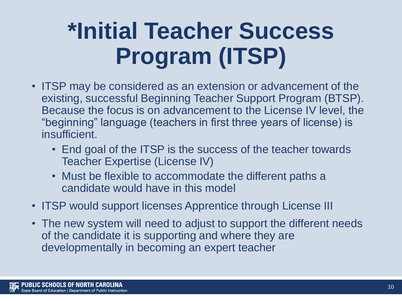# **\*Initial Teacher Success Program (ITSP)**

- ITSP may be considered as an extension or advancement of the existing, successful Beginning Teacher Support Program (BTSP). Because the focus is on advancement to the License IV level, the "beginning" language (teachers in first three years of license) is insufficient.
	- End goal of the ITSP is the success of the teacher towards Teacher Expertise (License IV)
	- Must be flexible to accommodate the different paths a candidate would have in this model
- ITSP would support licenses Apprentice through License III
- The new system will need to adjust to support the different needs of the candidate it is supporting and where they are developmentally in becoming an expert teacher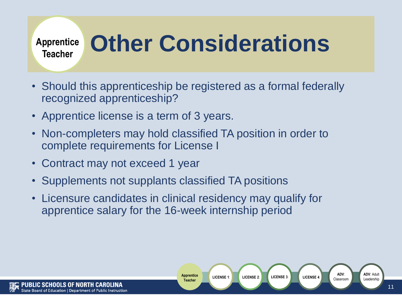#### **Apprentice Teacher**

# **Other Considerations**

- Should this apprenticeship be registered as a formal federally recognized apprenticeship?
- Apprentice license is a term of 3 years.
- Non-completers may hold classified TA position in order to complete requirements for License I
- Contract may not exceed 1 year
- Supplements not supplants classified TA positions
- Licensure candidates in clinical residency may qualify for apprentice salary for the 16-week internship period

**Apprentice Teacher**

**LICENSE 1**: **LICENSE 2**: **LICENSE 3**:

**ADV**: Adult

**ADV**: Classroom

LICENSE 4: **LICENSE 4**: **LICENSE 4**: **Leadership**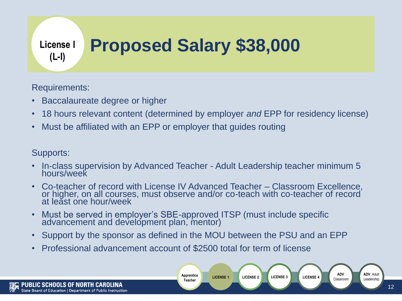#### **Proposed Salary \$38,000 License I (L-I)**

Requirements:

- Baccalaureate degree or higher
- 18 hours relevant content (determined by employer *and* EPP for residency license)
- Must be affiliated with an EPP or employer that guides routing

Supports:

- In-class supervision by Advanced Teacher Adult Leadership teacher minimum 5 hours/week
- Co-teacher of record with License IV Advanced Teacher Classroom Excellence, or higher, on all courses, must observe and/or co-teach with co-teacher of record at leăst one hour/week
- Must be served in employer's SBE-approved ITSP (must include specific advancement and development plan, mentor)
- Support by the sponsor as defined in the MOU between the PSU and an EPP

**Apprentice Teacher**

**LICENSE 1**: **LICENSE 2**: **LICENSE 3**:

• Professional advancement account of \$2500 total for term of license

**ADV**: Adult

**ADV**: Classroom

LICENSE 4: **LICENSE 4:** Classroom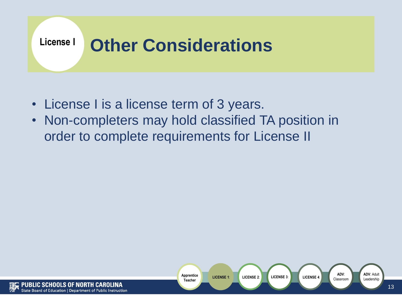

- License I is a license term of 3 years.
- Non-completers may hold classified TA position in order to complete requirements for License II



**ADV**: Adult

**ADV**: Classroom

LICENSE 4: **LICENSE 4:** Classroom **License 1**: **Leadership**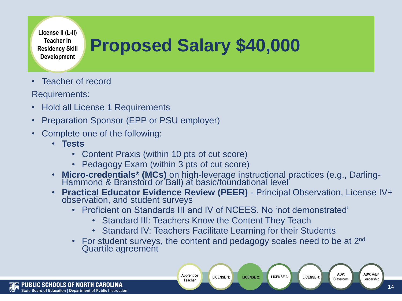**License II (L-II) Teacher in Residency Skill Development**

## **Proposed Salary \$40,000**

Teacher of record

Requirements:

- Hold all License 1 Requirements
- Preparation Sponsor (EPP or PSU employer)
- Complete one of the following:
	- **Tests**
		- Content Praxis (within 10 pts of cut score)
		- Pedagogy Exam (within 3 pts of cut score)
	- **Micro-credentials\* (MCs)** on high-leverage instructional practices (e.g., Darling-Hammond & Bransford or Ball) at basic/foundational level
	- **Practical Educator Evidence Review (PEER)** Principal Observation, License IV+ observation, and student surveys
		- Proficient on Standards III and IV of NCFFS No 'not demonstrated'
			- Standard III: Teachers Know the Content They Teach

**Apprentice Teacher**

- Standard IV: Teachers Facilitate Learning for their Students
- For student surveys, the content and pedagogy scales need to be at  $2^{nd}$ Quartile agreement

**LICENSE 1**: **LICENSE 2**: **LICENSE 3**:

**ADV**: Adult

**ADV**: Classroom

LICENSE 4: Classroom **License 1**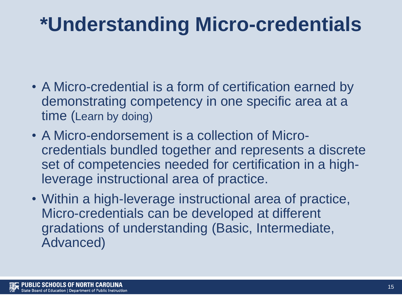## **\*Understanding Micro-credentials**

- A Micro-credential is a form of certification earned by demonstrating competency in one specific area at a time (Learn by doing)
- A Micro-endorsement is a collection of Microcredentials bundled together and represents a discrete set of competencies needed for certification in a highleverage instructional area of practice.
- Within a high-leverage instructional area of practice, Micro-credentials can be developed at different gradations of understanding (Basic, Intermediate, Advanced)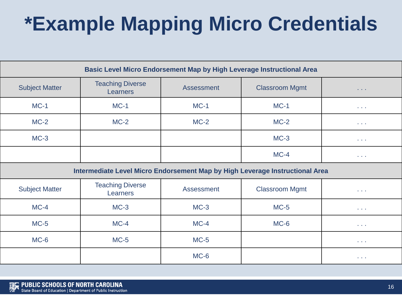## **\*Example Mapping Micro Credentials**

| <b>Basic Level Micro Endorsement Map by High Leverage Instructional Area</b> |                                            |                   |                       |                                    |  |
|------------------------------------------------------------------------------|--------------------------------------------|-------------------|-----------------------|------------------------------------|--|
| <b>Subject Matter</b>                                                        | <b>Teaching Diverse</b><br><b>Learners</b> | <b>Assessment</b> | <b>Classroom Mgmt</b> | $\sim 1000$ km s $^{-1}$           |  |
| $MC-1$                                                                       | $MC-1$                                     | $MC-1$            | $MC-1$                | <b><i><u>ALCOHOL: 1999</u></i></b> |  |
| $MC-2$                                                                       | $MC-2$                                     | $MC-2$            | $MC-2$                | <b><i><u>ALCOHOL: 1999</u></i></b> |  |
| $MC-3$                                                                       |                                            |                   | $MC-3$                | <b><i><u>ALCOHOL: 1999</u></i></b> |  |
|                                                                              |                                            |                   | $MC-4$                | <b><i><u>ALCOHOL: 1999</u></i></b> |  |

**Intermediate Level Micro Endorsement Map by High Leverage Instructional Area**

| <b>Subject Matter</b> | <b>Teaching Diverse</b><br>Learners | Assessment | <b>Classroom Mgmt</b> | <b>Service</b> |
|-----------------------|-------------------------------------|------------|-----------------------|----------------|
| $MC-4$                | $MC-3$                              | $MC-3$     | $MC-5$                | <b>Service</b> |
| $MC-5$                | $MC-4$                              | $MC-4$     | $MC-6$                | <b>Service</b> |
| $MC-6$                | $MC-5$                              | $MC-5$     |                       | <b>Service</b> |
|                       |                                     | $MC-6$     |                       | <b>Service</b> |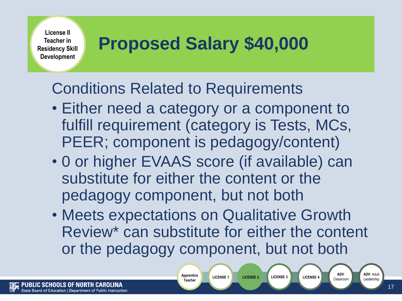**License II Teacher in Residency Skill Development**

### **Proposed Salary \$40,000**

### Conditions Related to Requirements

- Either need a category or a component to fulfill requirement (category is Tests, MCs, PEER; component is pedagogy/content)
- 0 or higher EVAAS score (if available) can substitute for either the content or the pedagogy component, but not both
- Meets expectations on Qualitative Growth Review\* can substitute for either the content or the pedagogy component, but not both

**LICENSE 1**: **LICENSE 2**: **LICENSE 3**:

**Apprentice Teacher**

**ADV**: Adult

**ADV**: Classroom

LICENSE 4: Classroom **License 1**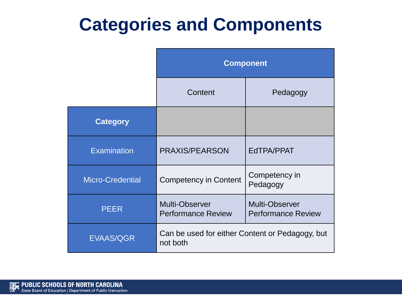### **Categories and Components**

|                         | <b>Component</b>                                            |                                             |  |
|-------------------------|-------------------------------------------------------------|---------------------------------------------|--|
|                         | Content                                                     | Pedagogy                                    |  |
| <b>Category</b>         |                                                             |                                             |  |
| <b>Examination</b>      | <b>PRAXIS/PEARSON</b>                                       | EdTPA/PPAT                                  |  |
| <b>Micro-Credential</b> | <b>Competency in Content</b>                                | Competency in<br>Pedagogy                   |  |
| <b>PEER</b>             | Multi-Observer<br><b>Performance Review</b>                 | Multi-Observer<br><b>Performance Review</b> |  |
| <b>EVAAS/QGR</b>        | Can be used for either Content or Pedagogy, but<br>not both |                                             |  |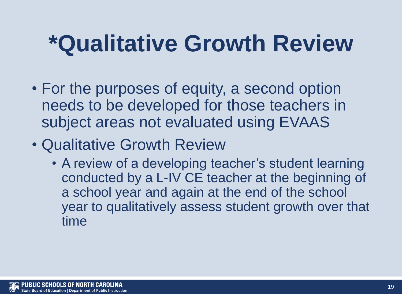# **\*Qualitative Growth Review**

- For the purposes of equity, a second option needs to be developed for those teachers in subject areas not evaluated using EVAAS
- Qualitative Growth Review
	- A review of a developing teacher's student learning conducted by a L-IV CE teacher at the beginning of a school year and again at the end of the school year to qualitatively assess student growth over that time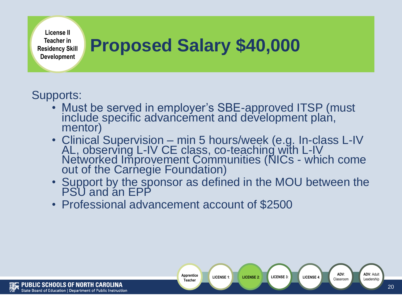**License II Teacher in Residency Skill Development**

### **Proposed Salary \$40,000**

### Supports:

- Must be served in employer's SBE-approved ITSP (must include specific advancement and development plan, mentor)
- Clinical Supervision min 5 hours/week (e.g. In-class L-IV AL, observing L-IV CE class, co-teaching with L-IV Networked Improvement Communities (NICs - which come out of the Carnegie Foundation)
- Support by the sponsor as defined in the MOU between the PSU and an EPP

20

• Professional advancement account of \$2500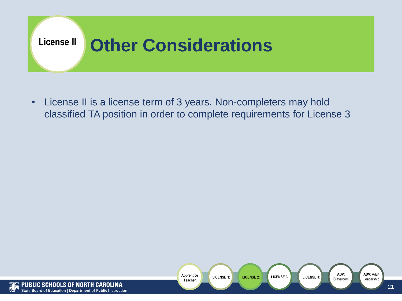

• License II is a license term of 3 years. Non-completers may hold classified TA position in order to complete requirements for License 3

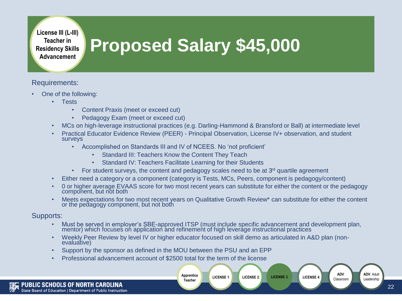**License III (L-III) Teacher in Residency Skills Advancement**

## **Proposed Salary \$45,000**

#### Requirements:

- One of the following:
	- Tests
		- Content Praxis (meet or exceed cut)
		- Pedagogy Exam (meet or exceed cut)
	- MCs on high-leverage instructional practices (e.g. Darling-Hammond & Bransford or Ball) at intermediate level
	- Practical Educator Evidence Review (PEER) Principal Observation, License IV+ observation, and student surveys
		- Accomplished on Standards III and IV of NCEES. No 'not proficient'
			- Standard III: Teachers Know the Content They Teach
			- Standard IV: Teachers Facilitate Learning for their Students
		- For student surveys, the content and pedagogy scales need to be at  $3<sup>rd</sup>$  quartile agreement
	- Either need a category or a component (category is Tests, MCs, Peers, component is pedagogy/content)
	- 0 or higher average EVAAS score for two most recent years can substitute for either the content or the pedagogy component, but not both
	- Meets expectations for two most recent years on Qualitative Growth Review\* can substitute for either the content or the pedagogy component, but not both

#### Supports:

• Must be served in employer's SBE-approved ITSP (must include specific advancement and development plan, mentor) which focuses on application and refinement of high leverage instructional practices

**LICENSE 1**: **LICENSE 2**: **LICENSE 3**:

• Weekly Peer Review by level IV or higher educator focused on skill demo as articulated in A&D plan (nonevaluative)

> **Apprentice Teacher**

- Support by the sponsor as defined in the MOU between the PSU and an EPP
- Professional advancement account of \$2500 total for the term of the license

**ADV**: Adult

**ADV**: Classroom

LICENSE 4: **LICENSE 4:** Classroom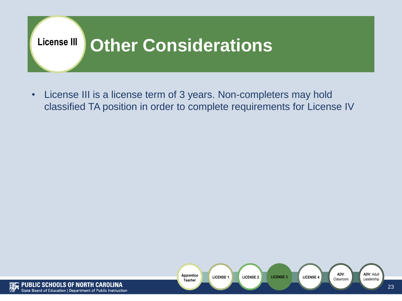

• License III is a license term of 3 years. Non-completers may hold classified TA position in order to complete requirements for License IV

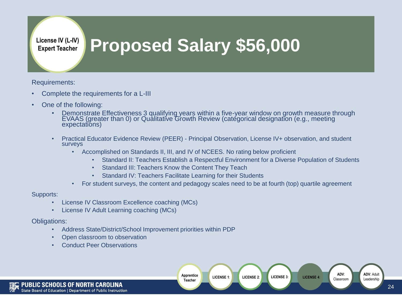**License IV (L-IV) Expert Teacher**

### **Proposed Salary \$56,000**

Requirements:

- Complete the requirements for a L-III
- One of the following:
	- Demonstrate Effectiveness 3 qualifying years within a five-year window on growth measure through EVAAS (greater than 0) or Qualitative Growth Review (categorical designation (e.g., meeting expectations)
	- Practical Educator Evidence Review (PEER) Principal Observation, License IV+ observation, and student surveys
		- Accomplished on Standards II, III, and IV of NCEES. No rating below proficient
			- Standard II: Teachers Establish a Respectful Environment for a Diverse Population of Students
			- Standard III: Teachers Know the Content They Teach
			- Standard IV: Teachers Facilitate Learning for their Students
		- For student surveys, the content and pedagogy scales need to be at fourth (top) quartile agreement

Supports:

- License IV Classroom Excellence coaching (MCs)
- License IV Adult Learning coaching (MCs)

Obligations:

- Address State/District/School Improvement priorities within PDP
- Open classroom to observation
- Conduct Peer Observations

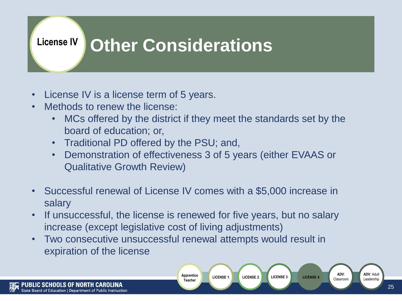#### **Other Considerations License IV**

- License IV is a license term of 5 years.
- Methods to renew the license:
	- MCs offered by the district if they meet the standards set by the board of education; or,
	- Traditional PD offered by the PSU; and,
	- Demonstration of effectiveness 3 of 5 years (either EVAAS or Qualitative Growth Review)
- Successful renewal of License IV comes with a \$5,000 increase in salary
- If unsuccessful, the license is renewed for five years, but no salary increase (except legislative cost of living adjustments)

**Apprentice Teacher**

**LICENSE 1**: **LICENSE 2**: **LICENSE 3**:

• Two consecutive unsuccessful renewal attempts would result in expiration of the license

**ADV**: Adult

**ADV**: Classroom

LICENSE 4: **LICENSE 4:** Classroom **License** Leadership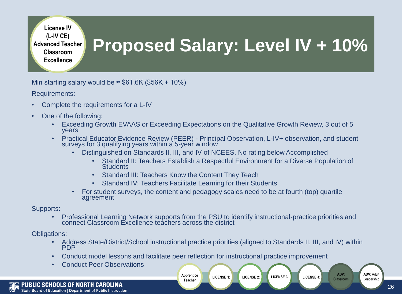**License IV (L-IV CE) Advanced Teacher Classroom Excellence**

### **Proposed Salary: Level IV + 10%**

Min starting salary would be  $\approx$  \$61.6K (\$56K + 10%)

Requirements:

- Complete the requirements for a L-IV
- One of the following:
	- Exceeding Growth EVAAS or Exceeding Expectations on the Qualitative Growth Review, 3 out of 5 years
	- Practical Educator Evidence Review (PEER) Principal Observation, L-IV+ observation, and student surveys for 3 qualifying years within a`5-yeaŕ window
		- Distinguished on Standards II, III, and IV of NCEES. No rating below Accomplished
			- Standard II: Teachers Establish a Respectful Environment for a Diverse Population of **Students**

**LICENSE 1**: **LICENSE 2**: **LICENSE 3**:

- Standard III: Teachers Know the Content They Teach
- Standard IV: Teachers Facilitate Learning for their Students
- For student surveys, the content and pedagogy scales need to be at fourth (top) quartile agreement

Supports:

• Professional Learning Network supports from the PSU to identify instructional-practice priorities and connect Classroom Excellence teachers across the district

Obligations:

- Address State/District/School instructional practice priorities (aligned to Standards II, III, and IV) within **PDP**
- Conduct model lessons and facilitate peer reflection for instructional practice improvement

**Apprentice Teacher**

• Conduct Peer Observations

**ADV**: Adult

**ADV**: LICENSE 4: **Classroom Leadership**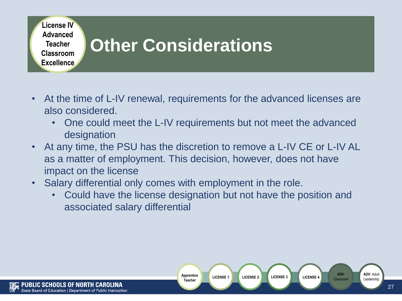

- At the time of L-IV renewal, requirements for the advanced licenses are also considered.
	- One could meet the L-IV requirements but not meet the advanced designation
- At any time, the PSU has the discretion to remove a L-IV CE or L-IV AL as a matter of employment. This decision, however, does not have impact on the license
- Salary differential only comes with employment in the role.
	- Could have the license designation but not have the position and associated salary differential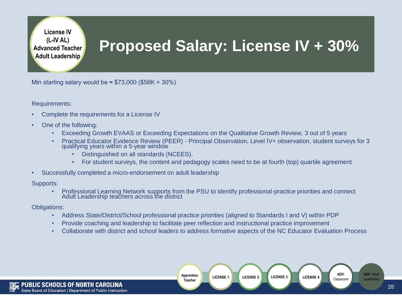**License IV (L-IV AL) Advanced Teacher Adult Leadership**

### **Proposed Salary: License IV + 30%**

Min starting salary would be  $\approx$  \$73,000 (\$56K + 30%)

Requirements:

- Complete the requirements for a License IV
- One of the following:
	- Exceeding Growth EVAAS or Exceeding Expectations on the Qualitative Growth Review, 3 out of 5 years
	- Practical Educator Evidence Review (PEER) Principal Observation, Level IV+ observation, student surveys for 3 qualifying years within a 5-year window
		- Distinguished on all standards (NCEES).
		- For student surveys, the content and pedagogy scales need to be at fourth (top) quartile agreement
- Successfully completed a micro-endorsement on adult leadership

Supports:

• Professional Learning Network supports from the PSU to identify professional-practice priorities and connect Adult Leadership teachers across the district

Obligations:

- Address State/District/School professional practice priorities (aligned to Standards I and V) within PDP
- Provide coaching and leadership to facilitate peer reflection and instructional practice improvement
- Collaborate with district and school leaders to address formative aspects of the NC Educator Evaluation Process

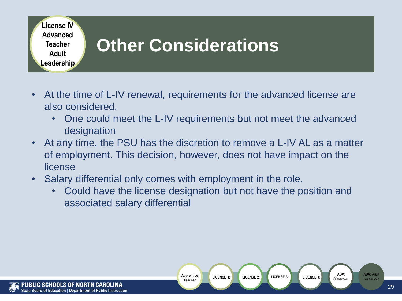

- At the time of L-IV renewal, requirements for the advanced license are also considered.
	- One could meet the L-IV requirements but not meet the advanced designation
- At any time, the PSU has the discretion to remove a L-IV AL as a matter of employment. This decision, however, does not have impact on the license
- Salary differential only comes with employment in the role.
	- Could have the license designation but not have the position and associated salary differential

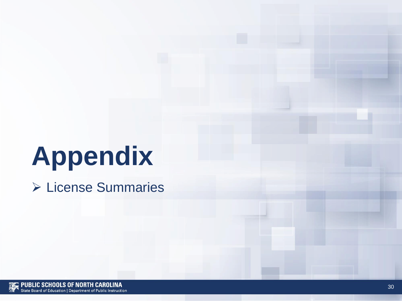# **Appendix**

➢ License Summaries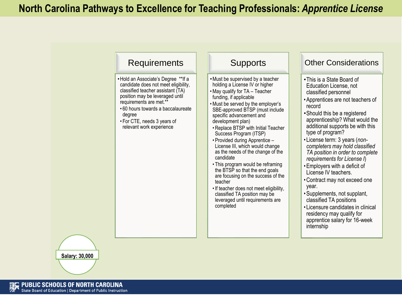

**Salary: 30,000**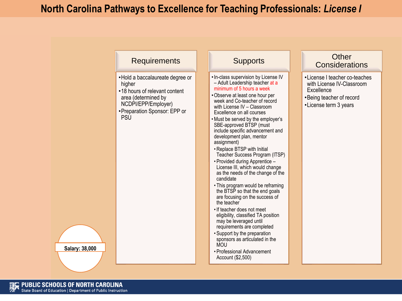#### **North Carolina Pathways to Excellence for Teaching Professionals:** *License I*

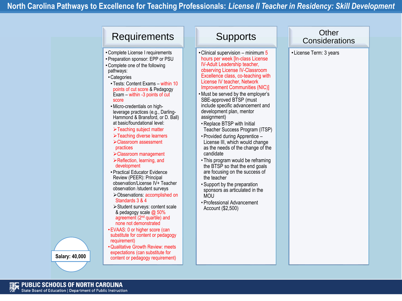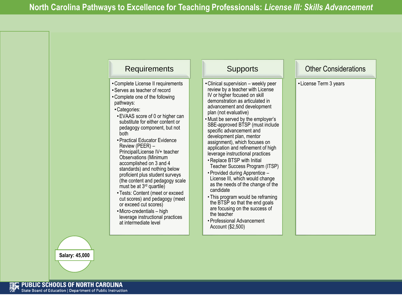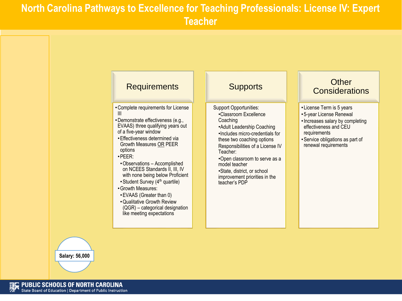#### **North Carolina Pathways to Excellence for Teaching Professionals: License IV: Expert Teacher**



**Salary: 56,000**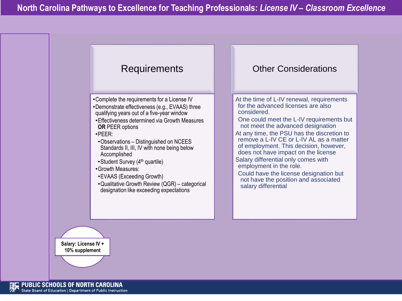